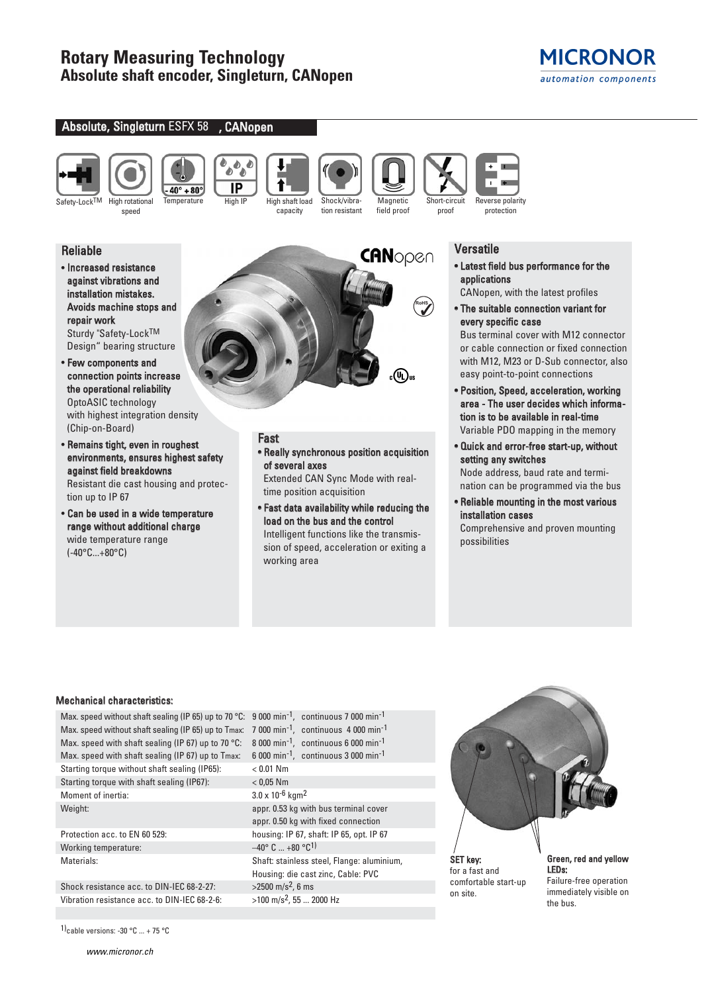

## Absolute, Singleturn ESFX 58 , CANopen





speed

 $40^\circ + 80^\circ$ 

しもっ A IP Temperature High IP High shaft load



Shock/vibration resistant **Magnetic** field proof



## **Versatile**

proof

• Latest field bus performance for the applications

CANopen, with the latest profiles

• The suitable connection variant for every specific case

Bus terminal cover with M12 connector or cable connection or fixed connection with M12, M23 or D-Sub connector, also easy point-to-point connections

- Position, Speed, acceleration, working area - The user decides which information is to be available in real-time Variable PDO mapping in the memory
- Quick and error-free start-up, without setting any switches Node address, baud rate and termi-

nation can be programmed via the bus

• Reliable mounting in the most various installation cases

Comprehensive and proven mounting possibilities

# Reliable

- Increased resistance against vibrations and installation mistakes. Avoids machine stops and repair work Sturdy "Safety-LockTM Design" bearing structure
- Few components and connection points increase the operational reliability OptoASIC technology with highest integration density (Chip-on-Board)
- Remains tight, even in roughest environments, ensures highest safety against field breakdowns Resistant die cast housing and protection up to IP 67
- Can be used in a wide temperature range without additional charge wide temperature range (-40°C...+80°C)

CANopen **RoHS**(4)。

### Fast • Really synchronous position acquisition of several axes

Extended CAN Sync Mode with realtime position acquisition

• Fast data availability while reducing the load on the bus and the control Intelligent functions like the transmission of speed, acceleration or exiting a working area

## Mechanical characteristics:

Max. speed without shaft sealing (IP 65) up to 70 °C: 9 000 min<sup>-1</sup>, continuous 7 000 min<sup>-1</sup> Max. speed without shaft sealing (IP 65) up to Tmax: 7 000 min<sup>-1</sup>, continuous 4 000 min<sup>-1</sup> Max. speed with shaft sealing (IP 67) up to 70 °C: 8 000 min<sup>-1</sup>, continuous 6 000 min<sup>-1</sup> Max. speed with shaft sealing (IP 67) up to Tmax: 6 000 min<sup>-1</sup>, continuous 3 000 min<sup>-1</sup> Starting torque without shaft sealing (IP65): < 0.01 Nm Starting torque with shaft sealing (IP67): < 0,05 Nm Moment of inertia:  $3.0 \times 10^{-6}$  kgm<sup>2</sup>

Working temperature:  $-40^{\circ}$  C ...  $+80^{\circ}$ C<sup>1)</sup>

Shock resistance acc. to DIN-IEC 68-2-27:  $>2500 \text{ m/s}^2$ , 6 ms Vibration resistance acc. to DIN-IEC 68-2-6:  $>100 \text{ m/s}^2$ , 55 ... 2000 Hz

1)cable versions: -30  $\degree$ C ... + 75  $\degree$ C

www.micronor.ch

Weight: Weight:  $\frac{1}{2}$  appr. 0.53 kg with bus terminal cover appr. 0.50 kg with fixed connection Protection acc. to EN 60 529: housing: IP 67, shaft: IP 65, opt. IP 67 Materials: Shaft: stainless steel, Flange: aluminium, Housing: die cast zinc, Cable: PVC



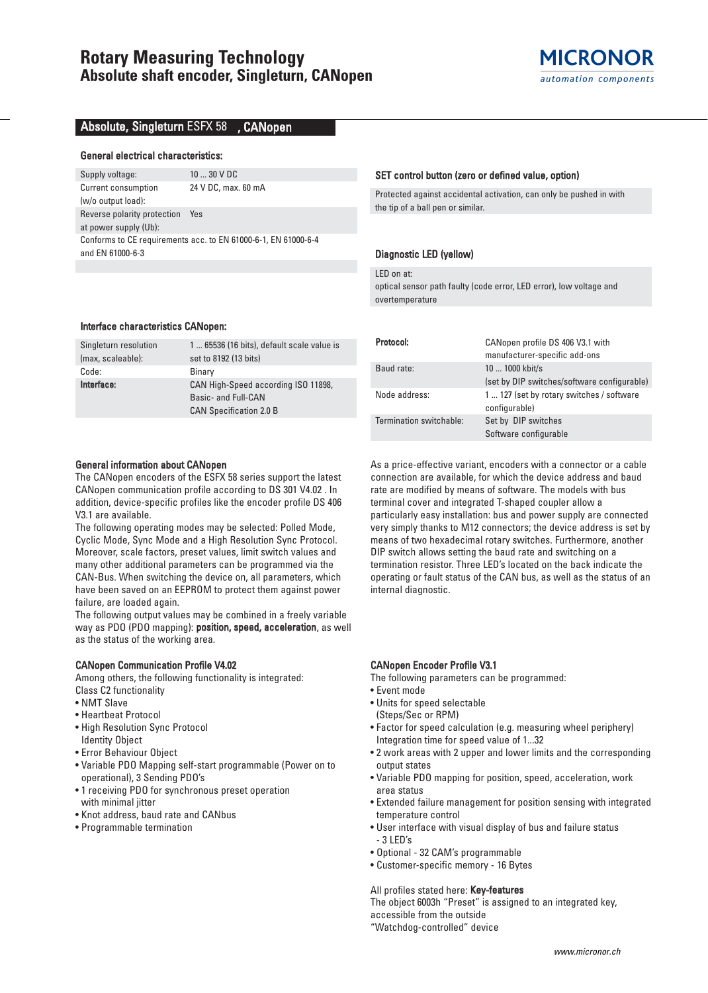## Absolute, Singleturn ESFX 58 , CANopen

#### General electrical characteristics:

Supply voltage: 10 ... 30 V DC Current consumption 24 V DC, max. 60 mA (w/o output load): Reverse polarity protection Yes at power supply (Ub): Conforms to CE requirements acc. to EN 61000-6-1, EN 61000-6-4 and EN 61000-6-3

#### Interface characteristics CANopen:

| Singleturn resolution | 1  65536 (16 bits), default scale value is |
|-----------------------|--------------------------------------------|
| (max, scaleable):     | set to 8192 (13 bits)                      |
| Code:                 | Binary                                     |
| Interface:            | CAN High-Speed according ISO 11898,        |
|                       | Basic- and Full-CAN                        |
|                       | <b>CAN Specification 2.0 B</b>             |
|                       |                                            |

#### General information about CANopen

The CANopen encoders of the ESFX 58 series support the latest CANopen communication profile according to DS 301 V4.02 . In addition, device-specific profiles like the encoder profile DS 406 V3.1 are available.

The following operating modes may be selected: Polled Mode, Cyclic Mode, Sync Mode and a High Resolution Sync Protocol. Moreover, scale factors, preset values, limit switch values and many other additional parameters can be programmed via the CAN-Bus. When switching the device on, all parameters, which have been saved on an EEPROM to protect them against power failure, are loaded again.

The following output values may be combined in a freely variable way as PDO (PDO mapping): position, speed, acceleration, as well as the status of the working area.

#### CANopen Communication Profile V4.02

Among others, the following functionality is integrated: Class C2 functionality

- NMT Slave
- Heartbeat Protocol
- High Resolution Sync Protocol Identity Object
- Error Behaviour Object
- Variable PDO Mapping self-start programmable (Power on to operational), 3 Sending PDO's
- 1 receiving PDO for synchronous preset operation with minimal jitter
- Knot address, baud rate and CANbus
- Programmable termination

#### SET control button (zero or defined value, option)

Protected against accidental activation, can only be pushed in with the tip of a ball pen or similar.

### Diagnostic LED (yellow)

LED on at:

optical sensor path faulty (code error, LED error), low voltage and overtemperature

| Protocol:               | CANopen profile DS 406 V3.1 with<br>manufacturer-specific add-ons |
|-------------------------|-------------------------------------------------------------------|
| Baud rate:              | 10  1000 kbit/s                                                   |
|                         | (set by DIP switches/software configurable)                       |
| Node address:           | 1  127 (set by rotary switches / software<br>configurable)        |
| Termination switchable: | Set by DIP switches                                               |
|                         | Software configurable                                             |

As a price-effective variant, encoders with a connector or a cable connection are available, for which the device address and baud rate are modified by means of software. The models with bus terminal cover and integrated T-shaped coupler allow a particularly easy installation: bus and power supply are connected very simply thanks to M12 connectors; the device address is set by means of two hexadecimal rotary switches. Furthermore, another DIP switch allows setting the baud rate and switching on a termination resistor. Three LED's located on the back indicate the operating or fault status of the CAN bus, as well as the status of an internal diagnostic.

#### CANopen Encoder Profile V3.1

- The following parameters can be programmed:
- Event mode
- Units for speed selectable (Steps/Sec or RPM)
- Factor for speed calculation (e.g. measuring wheel periphery) Integration time for speed value of 1...32
- 2 work areas with 2 upper and lower limits and the corresponding output states
- Variable PDO mapping for position, speed, acceleration, work area status
- Extended failure management for position sensing with integrated temperature control
- User interface with visual display of bus and failure status - 3 LED's
- Optional 32 CAM's programmable
- Customer-specific memory 16 Bytes

#### All profiles stated here: Key-features

The object 6003h "Preset" is assigned to an integrated key, accessible from the outside

"Watchdog-controlled" device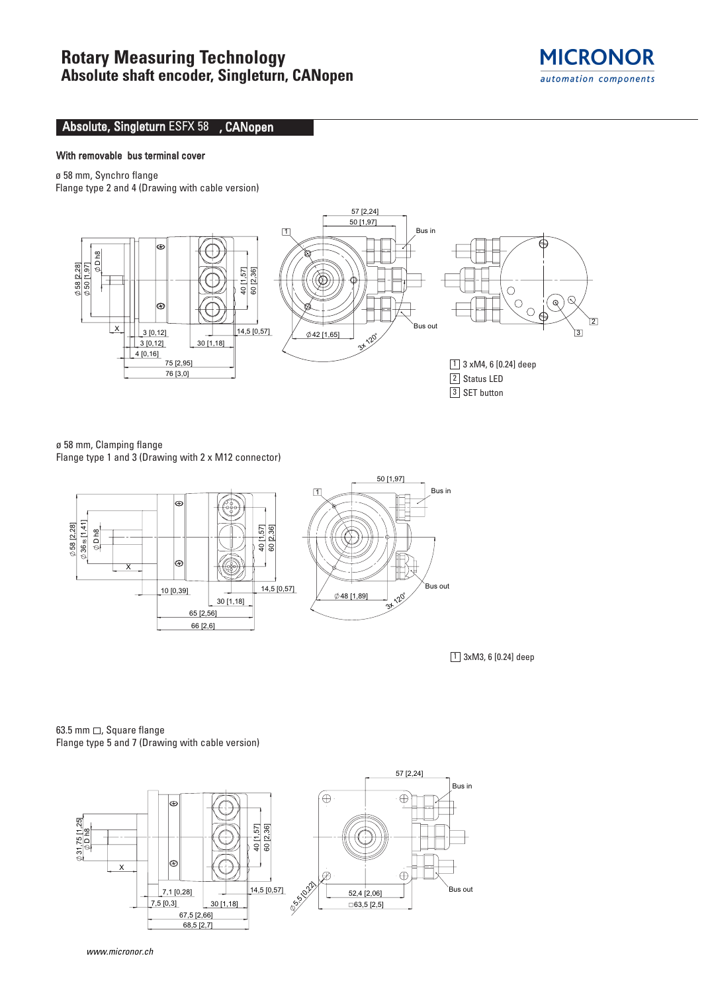

## Absolute, Singleturn ESFX 58 , CANopen

## With removable bus terminal cover

ø 58 mm, Synchro flange

Flange type 2 and 4 (Drawing with cable version)



ø 58 mm, Clamping flange Flange type 1 and 3 (Drawing with 2 x M12 connector)



 $\boxed{1}$  3xM3, 6 [0.24] deep

63.5 mm  $\Box$ , Square flange Flange type 5 and 7 (Drawing with cable version)



www.micronor.ch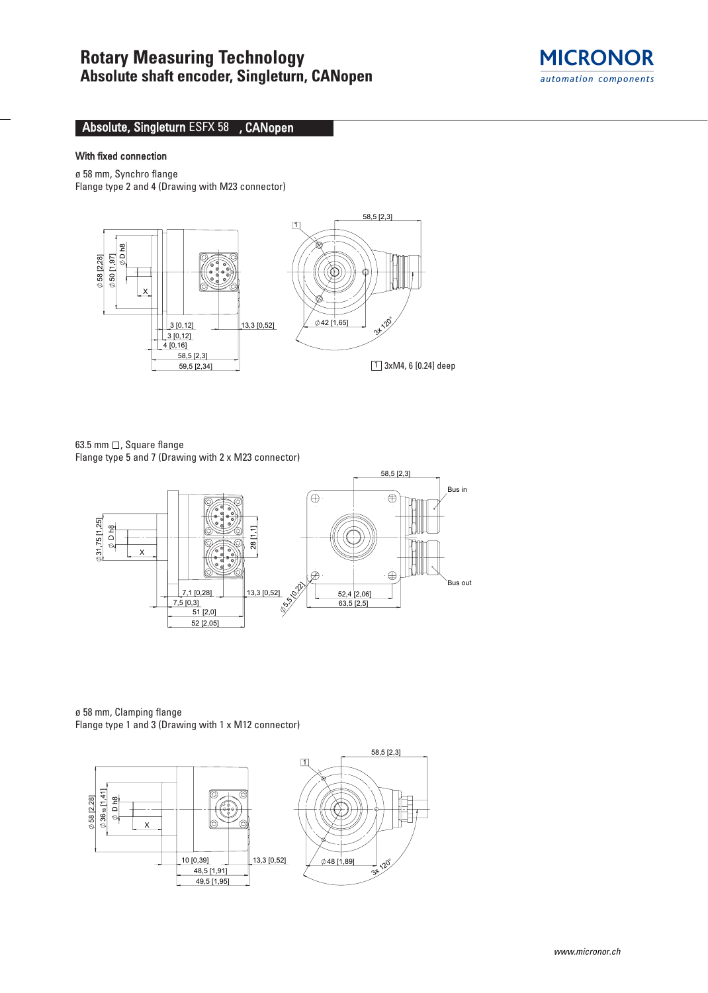

## Absolute, Singleturn ESFX 58 , CANopen

## With fixed connection

ø 58 mm, Synchro flange Flange type 2 and 4 (Drawing with M23 connector)



63.5 mm  $\Box$ , Square flange Flange type 5 and 7 (Drawing with 2 x M23 connector)



ø 58 mm, Clamping flange Flange type 1 and 3 (Drawing with 1 x M12 connector)

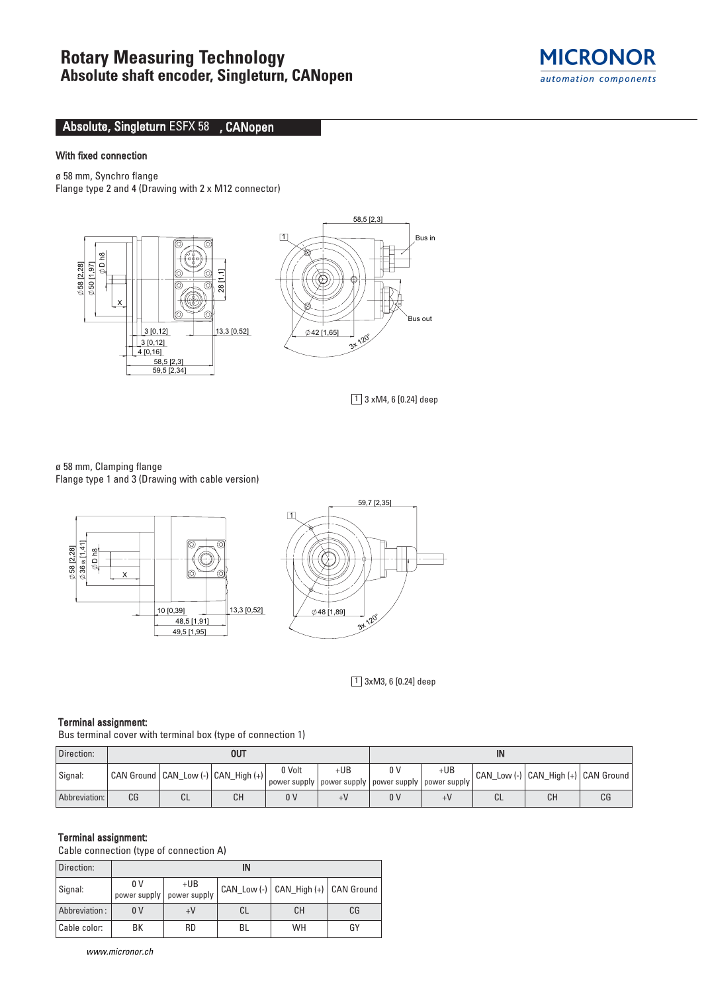

## Absolute, Singleturn ESFX 58 , CANopen

## With fixed connection

ø 58 mm, Synchro flange Flange type 2 and 4 (Drawing with 2 x M12 connector)



1 3 xM4, 6 [0.24] deep

ø 58 mm, Clamping flange Flange type 1 and 3 (Drawing with cable version)



 $\boxed{1}$  3xM3, 6 [0.24] deep

#### Terminal assignment:

Bus terminal cover with terminal box (type of connection 1)

| Direction:    | OUT |              |                                         |                | IN                                                                 |     |       |    |                                     |    |
|---------------|-----|--------------|-----------------------------------------|----------------|--------------------------------------------------------------------|-----|-------|----|-------------------------------------|----|
| Signal:       |     |              | CAN Ground   CAN_Low (-)   CAN_High (+) | 0 Volt         | +UB<br>  power supply   power supply   power supply   power supply | 0 V | $+UB$ |    | CAN_Low (-) CAN_High (+) CAN Ground |    |
| Abbreviation: | CG  | $\sim$<br>◡∟ | CН                                      | 0 <sup>0</sup> |                                                                    | 0 V | +V    | СL | CН                                  | CG |

#### Terminal assignment:

Cable connection (type of connection A)

| Direction:    | IN             |                                      |    |                                     |    |  |  |  |  |
|---------------|----------------|--------------------------------------|----|-------------------------------------|----|--|--|--|--|
| Signal:       | 0 V            | $+UB$<br>power supply   power supply |    | CAN_Low (-) CAN_High (+) CAN Ground |    |  |  |  |  |
| Abbreviation: | 0 <sup>V</sup> |                                      | CL | CН                                  | CG |  |  |  |  |
| Cable color:  | BK             | <b>RD</b>                            | BL | WH                                  | GY |  |  |  |  |

www.micronor.ch